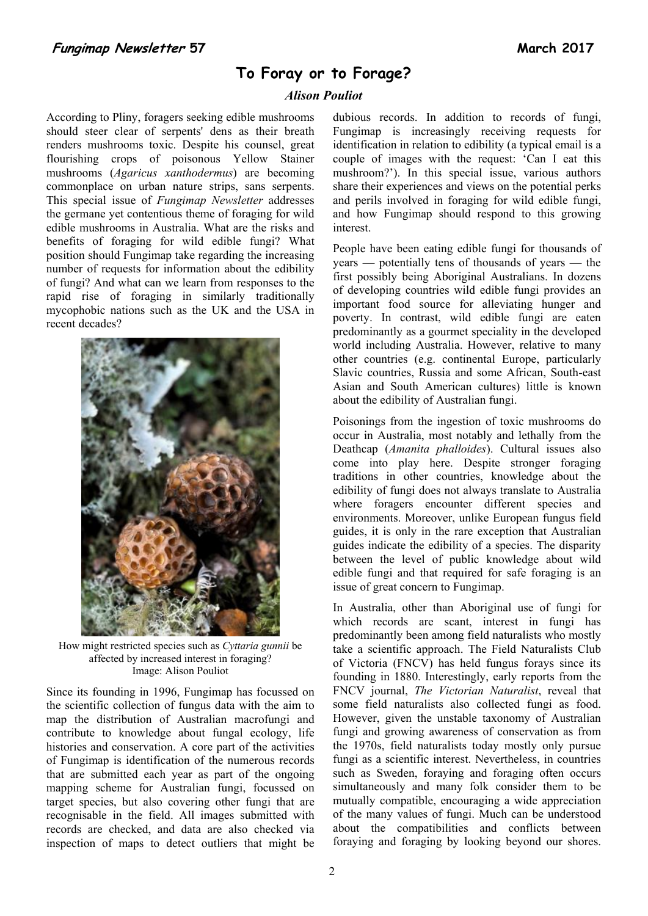# **To Foray or to Forage?**

### *Alison Pouliot*

According to Pliny, foragers seeking edible mushrooms should steer clear of serpents' dens as their breath renders mushrooms toxic. Despite his counsel, great flourishing crops of poisonous Yellow Stainer mushrooms (*Agaricus xanthodermus*) are becoming commonplace on urban nature strips, sans serpents. This special issue of *Fungimap Newsletter* addresses the germane yet contentious theme of foraging for wild edible mushrooms in Australia. What are the risks and benefits of foraging for wild edible fungi? What position should Fungimap take regarding the increasing number of requests for information about the edibility of fungi? And what can we learn from responses to the rapid rise of foraging in similarly traditionally mycophobic nations such as the UK and the USA in recent decades?



How might restricted species such as *Cyttaria gunnii* be affected by increased interest in foraging? Image: Alison Pouliot

Since its founding in 1996, Fungimap has focussed on the scientific collection of fungus data with the aim to map the distribution of Australian macrofungi and contribute to knowledge about fungal ecology, life histories and conservation. A core part of the activities of Fungimap is identification of the numerous records that are submitted each year as part of the ongoing mapping scheme for Australian fungi, focussed on target species, but also covering other fungi that are recognisable in the field. All images submitted with records are checked, and data are also checked via inspection of maps to detect outliers that might be

dubious records. In addition to records of fungi, Fungimap is increasingly receiving requests for identification in relation to edibility (a typical email is a couple of images with the request: 'Can I eat this mushroom?'). In this special issue, various authors share their experiences and views on the potential perks and perils involved in foraging for wild edible fungi, and how Fungimap should respond to this growing interest.

People have been eating edible fungi for thousands of years — potentially tens of thousands of years — the first possibly being Aboriginal Australians. In dozens of developing countries wild edible fungi provides an important food source for alleviating hunger and poverty. In contrast, wild edible fungi are eaten predominantly as a gourmet speciality in the developed world including Australia. However, relative to many other countries (e.g. continental Europe, particularly Slavic countries, Russia and some African, South-east Asian and South American cultures) little is known about the edibility of Australian fungi.

Poisonings from the ingestion of toxic mushrooms do occur in Australia, most notably and lethally from the Deathcap (*Amanita phalloides*). Cultural issues also come into play here. Despite stronger foraging traditions in other countries, knowledge about the edibility of fungi does not always translate to Australia where foragers encounter different species and environments. Moreover, unlike European fungus field guides, it is only in the rare exception that Australian guides indicate the edibility of a species. The disparity between the level of public knowledge about wild edible fungi and that required for safe foraging is an issue of great concern to Fungimap.

In Australia, other than Aboriginal use of fungi for which records are scant, interest in fungi has predominantly been among field naturalists who mostly take a scientific approach. The Field Naturalists Club of Victoria (FNCV) has held fungus forays since its founding in 1880. Interestingly, early reports from the FNCV journal, *The Victorian Naturalist*, reveal that some field naturalists also collected fungi as food. However, given the unstable taxonomy of Australian fungi and growing awareness of conservation as from the 1970s, field naturalists today mostly only pursue fungi as a scientific interest. Nevertheless, in countries such as Sweden, foraying and foraging often occurs simultaneously and many folk consider them to be mutually compatible, encouraging a wide appreciation of the many values of fungi. Much can be understood about the compatibilities and conflicts between foraying and foraging by looking beyond our shores.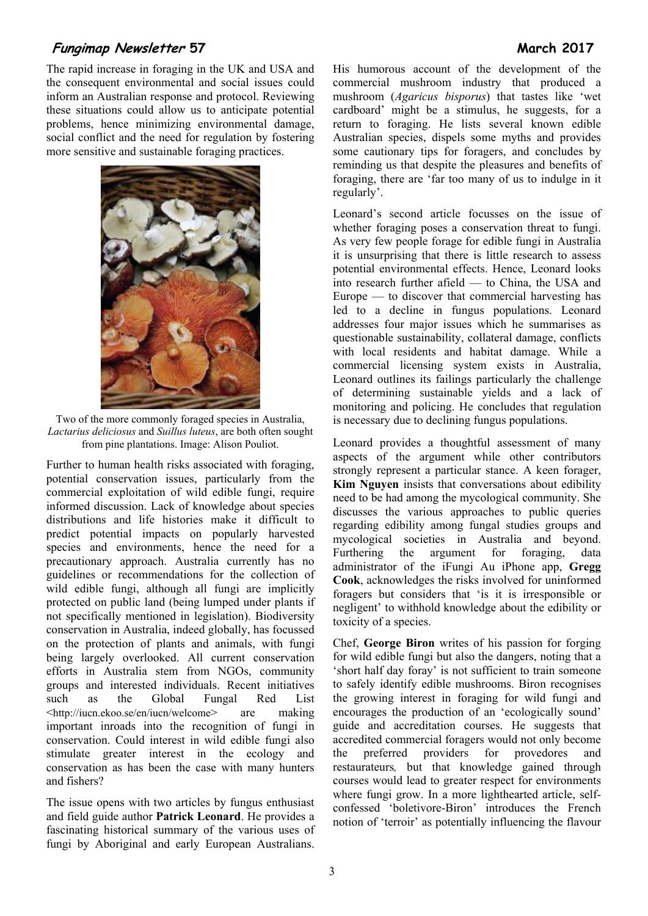## **Fungimap Newsletter 57 March 2017**

The rapid increase in foraging in the UK and USA and the consequent environmental and social issues could inform an Australian response and protocol. Reviewing these situations could allow us to anticipate potential problems, hence minimizing environmental damage, social conflict and the need for regulation by fostering more sensitive and sustainable foraging practices.



Two of the more commonly foraged species in Australia, *Lactarius deliciosus* and *Suillus luteus*, are both often sought from pine plantations. Image: Alison Pouliot.

Further to human health risks associated with foraging, potential conservation issues, particularly from the commercial exploitation of wild edible fungi, require informed discussion. Lack of knowledge about species distributions and life histories make it difficult to predict potential impacts on popularly harvested species and environments, hence the need for a precautionary approach. Australia currently has no guidelines or recommendations for the collection of wild edible fungi, although all fungi are implicitly protected on public land (being lumped under plants if not specifically mentioned in legislation). Biodiversity conservation in Australia, indeed globally, has focussed on the protection of plants and animals, with fungi being largely overlooked. All current conservation efforts in Australia stem from NGOs, community groups and interested individuals. Recent initiatives such as the Global Fungal Red List <http://iucn.ekoo.se/en/iucn/welcome> are making important inroads into the recognition of fungi in conservation. Could interest in wild edible fungi also stimulate greater interest in the ecology and conservation as has been the case with many hunters and fishers?

The issue opens with two articles by fungus enthusiast and field guide author **Patrick Leonard**. He provides a fascinating historical summary of the various uses of fungi by Aboriginal and early European Australians.

His humorous account of the development of the commercial mushroom industry that produced a mushroom (*Agaricus bisporus*) that tastes like 'wet cardboard' might be a stimulus, he suggests, for a return to foraging. He lists several known edible Australian species, dispels some myths and provides some cautionary tips for foragers, and concludes by reminding us that despite the pleasures and benefits of foraging, there are 'far too many of us to indulge in it regularly'.

Leonard's second article focusses on the issue of whether foraging poses a conservation threat to fungi. As very few people forage for edible fungi in Australia it is unsurprising that there is little research to assess potential environmental effects. Hence, Leonard looks into research further afield — to China, the USA and Europe — to discover that commercial harvesting has led to a decline in fungus populations. Leonard addresses four major issues which he summarises as questionable sustainability, collateral damage, conflicts with local residents and habitat damage. While a commercial licensing system exists in Australia, Leonard outlines its failings particularly the challenge of determining sustainable yields and a lack of monitoring and policing. He concludes that regulation is necessary due to declining fungus populations.

Leonard provides a thoughtful assessment of many aspects of the argument while other contributors strongly represent a particular stance. A keen forager, **Kim Nguyen** insists that conversations about edibility need to be had among the mycological community. She discusses the various approaches to public queries regarding edibility among fungal studies groups and mycological societies in Australia and beyond. Furthering the argument for foraging, data administrator of the iFungi Au iPhone app, **Gregg Cook**, acknowledges the risks involved for uninformed foragers but considers that 'is it is irresponsible or negligent' to withhold knowledge about the edibility or toxicity of a species.

Chef, **George Biron** writes of his passion for forging for wild edible fungi but also the dangers, noting that a 'short half day foray' is not sufficient to train someone to safely identify edible mushrooms. Biron recognises the growing interest in foraging for wild fungi and encourages the production of an 'ecologically sound' guide and accreditation courses. He suggests that accredited commercial foragers would not only become the preferred providers for provedores and restaurateurs*,* but that knowledge gained through courses would lead to greater respect for environments where fungi grow. In a more lighthearted article, selfconfessed 'boletivore-Biron' introduces the French notion of 'terroir' as potentially influencing the flavour